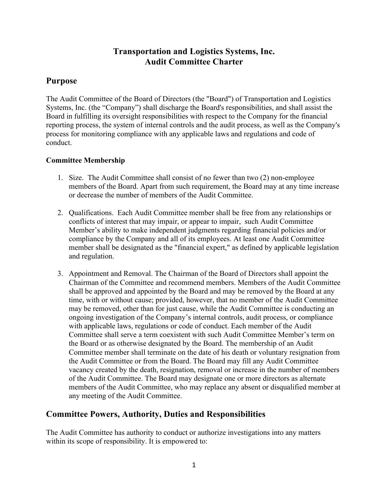# **Transportation and Logistics Systems, Inc. Audit Committee Charter**

## **Purpose**

The Audit Committee of the Board of Directors (the "Board") of Transportation and Logistics Systems, Inc. (the "Company") shall discharge the Board's responsibilities, and shall assist the Board in fulfilling its oversight responsibilities with respect to the Company for the financial reporting process, the system of internal controls and the audit process, as well as the Company's process for monitoring compliance with any applicable laws and regulations and code of conduct.

## **Committee Membership**

- 1. Size. The Audit Committee shall consist of no fewer than two (2) non-employee members of the Board. Apart from such requirement, the Board may at any time increase or decrease the number of members of the Audit Committee.
- 2. Qualifications. Each Audit Committee member shall be free from any relationships or conflicts of interest that may impair, or appear to impair, such Audit Committee Member's ability to make independent judgments regarding financial policies and/or compliance by the Company and all of its employees. At least one Audit Committee member shall be designated as the "financial expert," as defined by applicable legislation and regulation.
- 3. Appointment and Removal. The Chairman of the Board of Directors shall appoint the Chairman of the Committee and recommend members. Members of the Audit Committee shall be approved and appointed by the Board and may be removed by the Board at any time, with or without cause; provided, however, that no member of the Audit Committee may be removed, other than for just cause, while the Audit Committee is conducting an ongoing investigation of the Company's internal controls, audit process, or compliance with applicable laws, regulations or code of conduct. Each member of the Audit Committee shall serve a term coexistent with such Audit Committee Member's term on the Board or as otherwise designated by the Board. The membership of an Audit Committee member shall terminate on the date of his death or voluntary resignation from the Audit Committee or from the Board. The Board may fill any Audit Committee vacancy created by the death, resignation, removal or increase in the number of members of the Audit Committee. The Board may designate one or more directors as alternate members of the Audit Committee, who may replace any absent or disqualified member at any meeting of the Audit Committee.

## **Committee Powers, Authority, Duties and Responsibilities**

The Audit Committee has authority to conduct or authorize investigations into any matters within its scope of responsibility. It is empowered to: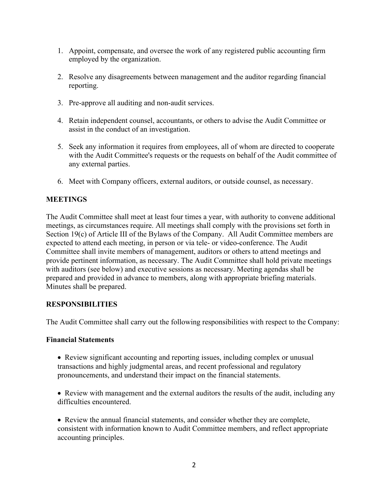- 1. Appoint, compensate, and oversee the work of any registered public accounting firm employed by the organization.
- 2. Resolve any disagreements between management and the auditor regarding financial reporting.
- 3. Pre-approve all auditing and non-audit services.
- 4. Retain independent counsel, accountants, or others to advise the Audit Committee or assist in the conduct of an investigation.
- 5. Seek any information it requires from employees, all of whom are directed to cooperate with the Audit Committee's requests or the requests on behalf of the Audit committee of any external parties.
- 6. Meet with Company officers, external auditors, or outside counsel, as necessary.

### **MEETINGS**

The Audit Committee shall meet at least four times a year, with authority to convene additional meetings, as circumstances require. All meetings shall comply with the provisions set forth in Section 19(c) of Article III of the Bylaws of the Company. All Audit Committee members are expected to attend each meeting, in person or via tele- or video-conference. The Audit Committee shall invite members of management, auditors or others to attend meetings and provide pertinent information, as necessary. The Audit Committee shall hold private meetings with auditors (see below) and executive sessions as necessary. Meeting agendas shall be prepared and provided in advance to members, along with appropriate briefing materials. Minutes shall be prepared.

#### **RESPONSIBILITIES**

The Audit Committee shall carry out the following responsibilities with respect to the Company:

#### **Financial Statements**

- Review significant accounting and reporting issues, including complex or unusual transactions and highly judgmental areas, and recent professional and regulatory pronouncements, and understand their impact on the financial statements.
- Review with management and the external auditors the results of the audit, including any difficulties encountered.

• Review the annual financial statements, and consider whether they are complete, consistent with information known to Audit Committee members, and reflect appropriate accounting principles.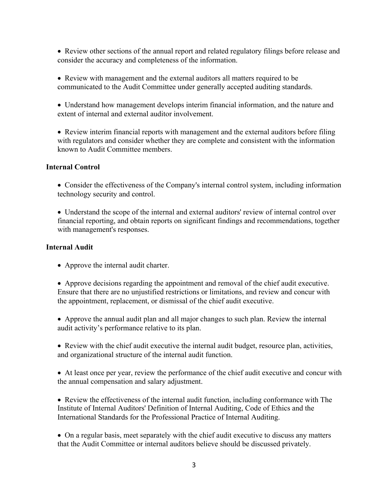• Review other sections of the annual report and related regulatory filings before release and consider the accuracy and completeness of the information.

• Review with management and the external auditors all matters required to be communicated to the Audit Committee under generally accepted auditing standards.

• Understand how management develops interim financial information, and the nature and extent of internal and external auditor involvement.

• Review interim financial reports with management and the external auditors before filing with regulators and consider whether they are complete and consistent with the information known to Audit Committee members.

#### **Internal Control**

• Consider the effectiveness of the Company's internal control system, including information technology security and control.

• Understand the scope of the internal and external auditors' review of internal control over financial reporting, and obtain reports on significant findings and recommendations, together with management's responses.

#### **Internal Audit**

• Approve the internal audit charter.

• Approve decisions regarding the appointment and removal of the chief audit executive. Ensure that there are no unjustified restrictions or limitations, and review and concur with the appointment, replacement, or dismissal of the chief audit executive.

• Approve the annual audit plan and all major changes to such plan. Review the internal audit activity's performance relative to its plan.

• Review with the chief audit executive the internal audit budget, resource plan, activities, and organizational structure of the internal audit function.

• At least once per year, review the performance of the chief audit executive and concur with the annual compensation and salary adjustment.

• Review the effectiveness of the internal audit function, including conformance with The Institute of Internal Auditors' Definition of Internal Auditing, Code of Ethics and the International Standards for the Professional Practice of Internal Auditing.

• On a regular basis, meet separately with the chief audit executive to discuss any matters that the Audit Committee or internal auditors believe should be discussed privately.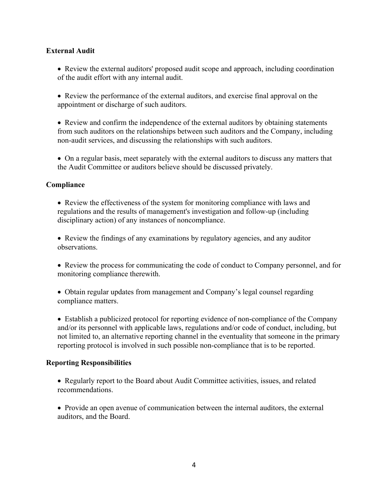### **External Audit**

• Review the external auditors' proposed audit scope and approach, including coordination of the audit effort with any internal audit.

• Review the performance of the external auditors, and exercise final approval on the appointment or discharge of such auditors.

• Review and confirm the independence of the external auditors by obtaining statements from such auditors on the relationships between such auditors and the Company, including non-audit services, and discussing the relationships with such auditors.

• On a regular basis, meet separately with the external auditors to discuss any matters that the Audit Committee or auditors believe should be discussed privately.

#### **Compliance**

• Review the effectiveness of the system for monitoring compliance with laws and regulations and the results of management's investigation and follow-up (including disciplinary action) of any instances of noncompliance.

• Review the findings of any examinations by regulatory agencies, and any auditor observations.

• Review the process for communicating the code of conduct to Company personnel, and for monitoring compliance therewith.

• Obtain regular updates from management and Company's legal counsel regarding compliance matters.

• Establish a publicized protocol for reporting evidence of non-compliance of the Company and/or its personnel with applicable laws, regulations and/or code of conduct, including, but not limited to, an alternative reporting channel in the eventuality that someone in the primary reporting protocol is involved in such possible non-compliance that is to be reported.

#### **Reporting Responsibilities**

• Regularly report to the Board about Audit Committee activities, issues, and related recommendations.

• Provide an open avenue of communication between the internal auditors, the external auditors, and the Board.